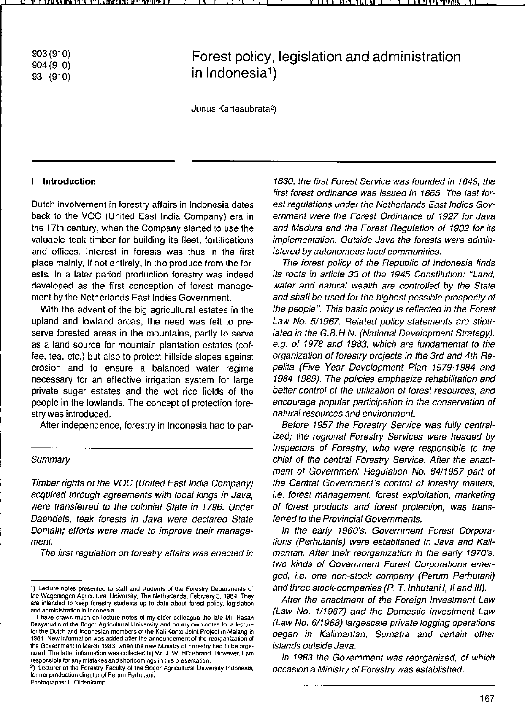903 (910) 904 (91 0) 93 (910)

# **Forest policy, legislation and administration in Indonesia1)**

Junus Kartasubrata2)

## I **IntroductIon**

Dutch involvement in forestry alfairs in Indonesia dates back to the VOC (United East India Company) era in the 17th century, when the Company started to use the valuable teak timber for building its fleet, fortifications and offices. Interest in forests was thus in the first place mainly. if not entirely. in the produce from the forests. In a later period production forestry was indeed developed as the first conception of forest management by the Netherlands East Indies Government.

With the advent of the big agricultural estates in the upland and lowland areas, the need was feit to preserve forested areas in the mountains, partly to serve as a land source for mountain plantation estates (coffee. tea, etc.) but also to protect hillside slopes against **erosion and 10 ensure a balanced water regime**  necessary for an effective irrigation system for large private sugar estates and the wet rice fields of the people in the lowlands. The concept of protection forestry was introduced.

After independence. forestry in Indonesia had to par-

#### **Summary**

Timber rights ol the VOC (Uniled East India Company) acquired Ihrough agreemenls with local kings in Java, were transferred to the colonial State in 1796. Under Daendels, teak forests in Java were declared State **Domain; efforts were made to improve their management.** 

**The lirst regulation on forestry affairs was enacted in** 

1830, the first Forest Service was founded in 1849, the first forest ordinance was issued in 1865. The last forest regulations under the Netherlands East Indies Government were the Forest Ordinance of 1927 for Java and Madura and the Forest Regulation of 1932 for its implementation. Outside Java the forests were admin**istered by autonomous local communities.** 

The forest policy of the Republic of Indonesia finds its rools in article 33 of the 1945 Constitution: "Land, water and natural wealth are controlled by the State and shall be used for the highest possible prosperity of the people". This basic policy is reflected in the Forest Law No. 5/1967. Related policy statements are stipulated in the G.B.H.N. (National Development Strategy), e.g. ol 1978 and 1983. which are lundamental to the organization of forestry projects in the 3rd and 4th Repelita (Five Year Development Plan 1979-1984 and 1984-1989). The policies emphasize rehabilitation and better control of the utilization of forest resources, and encourage popular participation in the conservation of natural resources and environment.

Belore 1957 Ihe Forestry Service was fully centralized; the regional Forestry Services were headed by Inspeclors ol Forestry. who were responsible to the chief of the central Forestry Service. After the enactment of Govemment Regulation No. 64/1957 part of the Central Government's control of forestry matters, i.e. forest management, forest exploitation, marketing of lorest products and lorest protection, was transferred to the Provincial Governments.

In Ihe early 1960's, Government Forest Corporations (Perhulanis) were established in Java and Kali**mantan. Alter their reorganization in Ihe early 1970's,**  two kinds of Government Forest Corporations emerged, i.e. one non-slock company (Perum Perhutani) and three stock-companies (P. T. Inhutani I, II and III).

After the enactment of the Foreign Investment Law (Law No. 1/1967) and the Domestic Inveslment Law (Law No. 6/1968) largescale private logging operations began in Kalimantan, Sumatra and certain other islands oulside Java.

In 1983 the Government was reorganized, of which occasion a Ministry of Forestry was established.

<sup>&</sup>lt;sup>1</sup>) Lecture notes presented to staff and students of the Forestry Departments of **!he Wageningen Agricultural Universily, The Netherlands, February 3. 1984 They**  are intended to keep forestry students up to date about forest policy, legislation **and administration in Indonesia.** 

**I have drawn much on lecture notes 01 my elder colleague the late Mr Hasan**  Basyarudin of the Bogor Agricultural University and on my own notes for a lecture **for ths Dulch and Indonesian members of the Kali Konto Joinl Project 10 Malang In**  1981. New information was added after the announcement of the reorganization of **the Government in March 1983, when Ihe new Ministryol Forestry had to be orga· IlIzed. The latter information wascollected bij MI. J. W. Hildebrand. However, I am**  responsible for any mistakes and shortcomings in this presentation.

<sup>&</sup>lt;sup>2</sup>) Lecturer at the Forestry Faculty of the Bogor Agricultural University Indonesia, **former production director ol Perurn Perhuiani. Photographs·l. Oldenkamp**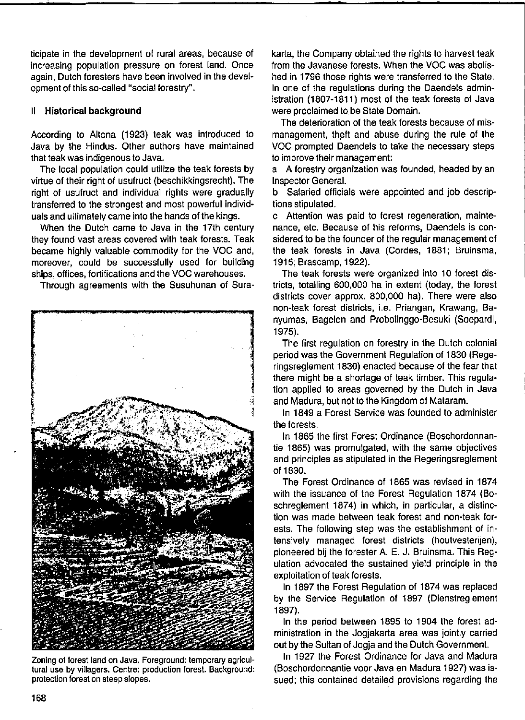#### 11 Historical background

According to Allona (1923) teak was introduced to Java by the Hindus. Other authors have maintained that teak was indigenous to Java.

The local population could utilize the teak forests by virtue of their right of usufruct (beschikkingsrecht). The right of usulruct and individual rights were gradually transferred to the strongest and most powerful individuals and ultimately came into the hands of the kings.

When the Dutch came to Java in the 17th century they found vast areas covered with teak forests. Teak became highly valuable commodily for the VOC and, moreover, could be successfully used for building ships, offices, fortifications and the VOC warehouses.

Through agreements with the Susuhunan of Sura-



**Zoning of forest land on Java. Foreground: temporary agricultural use by villagers. Centre: production forest. Background: protection forest on sleep stapes.** 

karta, the Company obtained the rights to harvest teak from the Javanese forests. When the VOC was abolished in 1796 those rights were transferred to the State. In one of the regulations during the Daendels administration (1807-1811) most of the teak forests of Java were proclaimed to be State Domain.

The deterioration of the teak forests because of mismanagement, theft and abuse during the rule of the VOC prompted Daendels to take the necessary steps to improve their management:

a A forestry organization was founded, headed by an Inspector Genera!.

b Salaried officials were appointed and job descriptions stipulated.

c Attention was paid to forest regeneration, maintenance, etc. Because of his reforms, Daendels is considered to be the founder of the regular management of the teak forests in Java (Cordes, 1881; Bruinsma, 1915; Brascamp, 1922).

The teak forests were organized into 10 forest districts, totalling 600,000 ha in extent (today, the forest districts cover approx. 800,000 ha). There were also non-teak forest districts, i.e. Priangan, Krawang, Banyumas, Bagelen and Probolinggo-Besuki (Soepardi, 1975).

The first regulation on forestry in the Dutch colonial period was the Government Regulation of 1830 (Regeringsreglement 1830) enacted because of the fear that there might be a shortage of teak limber. This regulation applied to areas governed by Ihe Dutch in Java and Madura, but not to the Kingdom of Mataram.

In 1849 a Forest Service was founded to administer the forests.

In 1865 the first Forest Ordinance (Boschordonnantie 1865) was promulgated, with the same objectives and principles as stipulated in the Regeringsreglement 011830.

The Forest Ordinance of 1865 was revised in 1874 with the issuance of the Forest Regulation 1874 (Boschreglement 1874) in which, in particular, a distinction was made between teak forest and non-teak forests. The following step was the establishment of intensively managed forest districts (houtvesterijen), pioneered bij the forester A. E. J. Bruinsma. This Regulation advocated the sustained yield principle in the exploitation of teak forests.

In 1897 the Forest Regulation of 1874 was replaced by the Service Regulation of 1897 (Dienstreglement 1897).

In the period between 1895 to 1904 the forest administration in the Jogjakarta area was jointly carried out by the Sultan of Jogja and the Dutch Government.

In 1927 the Forest Ordinance for Java and Madura (Boschordonnantie voor Java en Madura 1927) was issued; this contained detailed provisions regarding the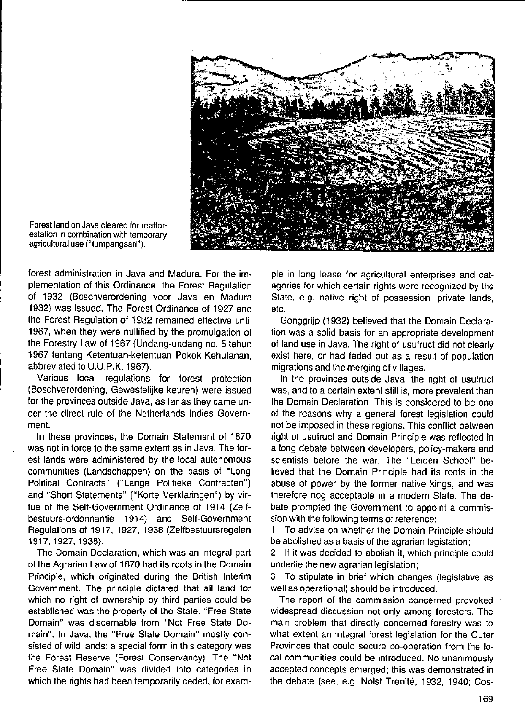

**Forest land on Java cleared tor reaffor· estalion in combination with temporary agricultural use ("tumpangsari").** 

forest administration in Java and Madura. For the implementation of this Ordinance, the Forest Regulation of 1932 (Boschverordening voor Java en Madura 1932) was issued. The Forest Ordinance of 1927 and the Forest Regulation of 1932 remained effective until 1967, when they were nullified by the promulgation of the Forestry Law of 1967 (Undang-undang no. 5 tahun 1967 tentang Ketentuan-ketentuan Pokok Kehutanan, abbreviated to U.U.P.K. 1967).

Various local regulations for forest protection (Boschverordening, Gewestelijke keuren) were issued for the provinces outside Java, as far as they came under the direct rule of the Netherlands Indies Government.

In these provinces, the Domain Statement of 1870 was not in force to the same extent as in Java. The forest lands were administered by the local autonomous communities (Landschappen) on the basis of "Long Political Contracts" ("Lange Politieke Contracten") and "Short Statements" ("Korte Verklaringen") by virtue of the Self-Government Ordinance of 1914 (Zelfbestuurs-ordonnantie 1914) and Self-Government Regulations of 1917,1927,1938 (Zelfbestuursregelen 1917,1927,1938).

The Domain Declaration, which was an integral part of the Agrarian Law of 1870 had its roots in the Domain Principle, which originated during the British Interim Government. The principle dictated that all land for which no right of ownership by third parties could be established was the property of the State. "Free State Domain" was discernable from "Not Free State Domain". In Java, the "Free State Domain" mostly consisted of wild lands; a special form in this category was the Forest Reserve (Forest Conservancy). The "Not Free State Domain" was divided into categories in which the rights had been temporarily ceded, for example in long lease for agricultural enterprises and categories for which certain rights were recognized by the State, e.g. native right of possession, private lands, etc.

Gonggrijp (1932) believed that the Domain Declaration was a solid basis for an appropriate development of land use in Java. The right of usufruct did not clearly exist here, or had faded out as a result of population migrations and the merging of villages.

In the provinces outside Java, the right of usufruct was, and to a certain extent still is, more prevalent than the Domain Declaration. This is considered to be one of the reasons why a general forest legislation could not be imposed in these regions. This conflict between right of usufruct and Domain Principle was reflected in a long debate between developers, policy-makers and scientists before the war. The "Leiden School" believed that the Domain Principle had its roots in the abuse of power by the former native kings, and was therefore nog acceptable in a modern State. The debate prompted the Government to appoint a commission with the following terms of reference:

1 To advise on whether the Domain Principle should be abolished as a basis of the agrarian legislation;

2 If it was decided to abolish it, which principle could underlie the new agrarian legislation;

3 To stipulate in brief which changes (Iegislative as weil as operational) should be introduced.

The report of the commission concerned provoked widespread discussion not only among foresters. The main problem that directly concerned forestry was to what extent an integral forest legislation for the Outer Provinces that could secure co-operation from the 10 cal communities could be introduced. No unanimously accepted concepts emerged; this was demonstrated in the debate (see, e.g. Noist Trenité, 1932, 1940; Cos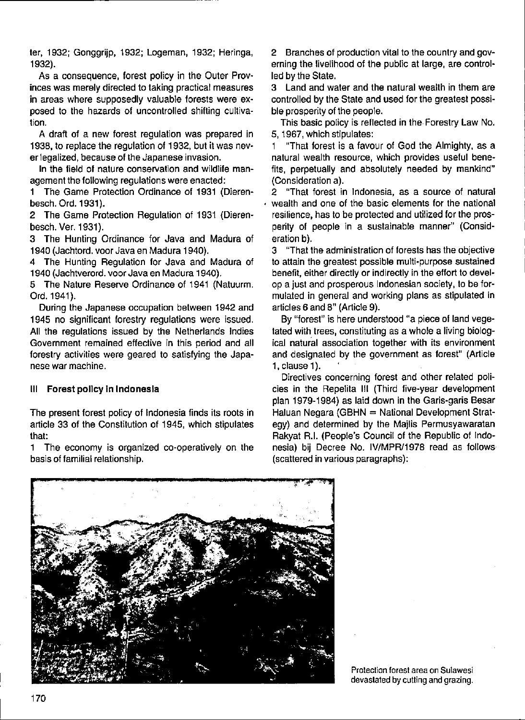ter, 1932; Gonggrijp, 1932; Logeman, 1932; Heringa, 1932).

As a consequence, forest policy in the Outer Provinces was merely directed to taking practical measures in areas where supposedly valuable forests were ex· posed to the hazards of uncontrolled shifting cultivation.

A draft of a new forest regulation was prepared in 1938, to replace the regulation of 1932, but it was nev· er legalized, because of the Japanese invasion.

In the field of nature conservation and wildlife man· agement the following regulations were enacted:

1 The Game Protection Ordinance of 1931 (Dieren· besch. Ord. 1931).

2 The Game Protection Regulation of 1931 (Dieren· besch. Ver. 1931).

3 The Hunting Ordinance for Java and Madura of 1940 (Jachtord. voor Java en Madura 1940).

4 The Hunting Regulation for Java and Madura of 1940 (Jachtverord. voor Java en Madura 1940).

5 The Nature Reserve Ordinance of 1941 (Natuurm. Ord.1941).

During the Japanese occupation between 1942 and 1945 no significant forestry regulations were issued. All the regulations issued by the Netherlands Indies Government remained effective in this period and all forestry activities were geared to satisfying the Japa· **nese war machine.** 

#### III Forest policy in Indonesia

The present forest policy of Indonesia finds its roots in article 33 of the Constitution of 1945, which stipulates that:

1 The economy is organized co·operatively on the basis of familial relationship.

2 Branches ol production vital to the country and gov· erning the livelihood of the public at large, are control· led by the State.

3 Land and water and the natural wealth in them are controlled by the State and used for the greatest possibie prosperity of the peaple.

This basic policy is reflected in Ihe Forestry Law No. 5,1967, which stipulates:

1 "That forest is a favour of God the Almighty, as a natural wealth resource, which provides useful benefits, perpetually and absolutely needed by mankind" (Consideration a).

2 "That forest in Indonesia, as a source of natural weallh and one of the basic elements for the national resilience, has to be protected and utilized for the pros· perity of people in a sustainable manner" (Consid· eration b).

3 "That the administration of foresls has the objective to attain the greatest possible multi-purpose sustained benefit, either directly or indirectly in the effort to develop a just and prosperous Indonesian society, to be for· mulated in general and working plans as stipulated in articles 6 and 8" (Article 9).

By "forest" is here understood "a piece of land vege· tated with trees, constituting as a whole a living biological natural association together with its environment and designated by the government as forest" (Article 1, clause 1).

Directives concerning forest and other related policies in the Repeiita 111 (Third five·year development plan 1979·1984) as laid down in the Garis·garis Besar Haluan Negara (GBHN = National Development Strategy) and determined by the Majlis Permusyawaratan Rakyat R.1. (People's Council of the Republic of Indo· nesia) bij Decree No. IV/MPR/1978 read as follows (scattered in various paragraphs):



**Protectien forest area on Sulawesi**  devastated by culting and grazing.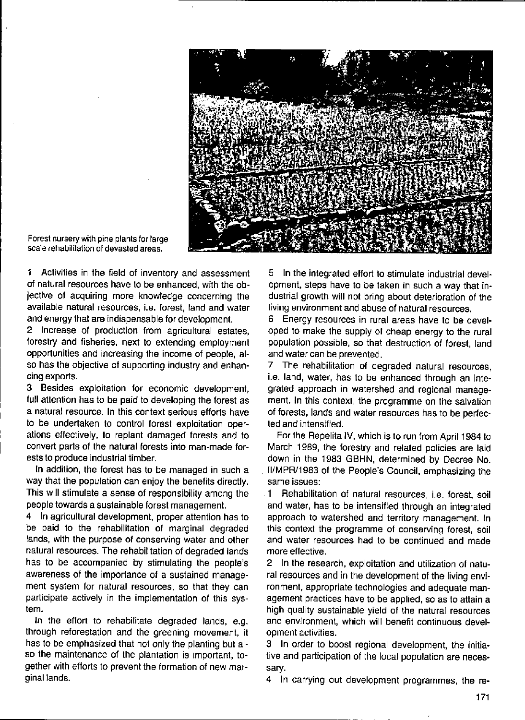

**Forest nursery with pine plants** *tor* **large scale rehabilitation of devasted areas,** 

1 Activities in the field of inventory and assessment of natural resources have to be enhanced, with the objective of acquiring more knowledge concerning the available natural resources, i,e, forest, land and water and energy that are indispensable for development.

2 Increase of production from agricultural estates, forestry and fisheries, next to extending employment opportunities and increasing the income of people, also has the objective of supporting industry and enhancing exports.

3 Besides exploitation for economic development, full attention has to be paid to developing the forest as a natural resource. In this context serious eftorts have to be undertaken to control forest exploitation operations effectively, to replant damaged forests and to convert parts of the natural forests into man-made forests to produce industrial timber.

In addition, the forest has to be managed in such a way that the population can enjoy the benefits directly. This will stimulate a sense of responsibility among the people towards a sustainable lorest management.

4 In agricultural development, proper attention has to be paid to the rehabilitation of marginal degraded lands, with the purpose of conserving water and other natural resources. The rehabilitation of degraded lands has to be accompanied by stimulating the people's awareness of the importance of a sustained management system for natural resources, so that they can participate actively in the implementation of this system.

In the eftort to rehabilitate degraded lands, e.g. through reforestation and the greening movement, it has to be emphasized that not only the planting but also the maintenance of the plantation is important, together with efforts to prevent the formation of new marginal lands.

5 In the integrated eftort to stimulate industrial development, steps have to be taken in such a way that industrial growth will not bring about deterioration of the living environment and abuse of natural resources.

6 Energy resources in rural areas have to be developed to make the supply of cheap energy to the rural population possible, so that destruction of forest, land and water can be prevented.

7 The rehabilitation of degraded natural resources, i.e. land, water, has to be enhanced through an integrated approach in watershed and regional management. In this context, the programme on the salvation of forests, lands and water resources has to be perfected and intensified.

For the Repelita IV, which is to run from April 1984 to March 1989, the forestry and related policies are laid down in the 1983 GBHN, determined by Decree No. II/MPR/1983 ol the People's Council, emphasizing the **same issues:** 

1 Rehabilitation of natural resources, i.e. forest, soil and water, has to be intensified through an integrated approach to watershed and territory management. In this context the programme of conserving forest, soil and water resources had to be continued and made more effective.

2 In the research, exploitation and utilization of natural resources and in the development of the living environment, appropriate technologies and adequate management practices have to be applied, so as to attain a high quality sustainable yield of the natural resources **and environment, which will benefit continuous devel**op ment **activities,** 

3 In order to boost regional development, the initiative and participation of the local population are necessary.

4 In carrying out development programmes, the re-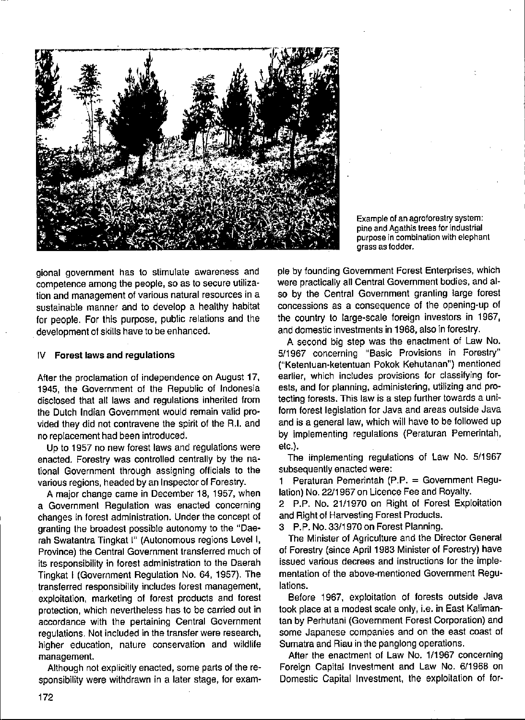

**Example of an agroforestry system: pine and Agathis trees for industrial purpose in combination with elephant grass as fodder.** 

gional government has to stimulate awareness and competence among the people, sa as to secure utilization and management of various natural resources in a sustainable manner and to develop a healthy habitat for people. For this purpose, public relations and the . development of skills have to be enhanced.

#### IV Forest laws and regulations

After the proclamation of independence on August 17, 1945, the Government of the Republic of Indonesia disclosed that all laws and regulations inherited from the Dutch Indian Government would remain valid provided they did not contravene the spirit of the R.I. and no replacement had been introduced.

Up to 1957 no new forest laws and requlations were enacted. Forestry was controlled centrally by the national Government through assigning officials to the various regions, headed by an Inspector of Forestry.

A major change came in December 18,1957, when a Government Regulation was enacted concerning changes in forest administration. Under the concept of granting the broadest possible autonomy to the "Daerah Swatantra Tingkat I" (Autonomous regions Level I, Province) the Central Government transferred much of its responsibility in forest administration to the Daerah Tingkat I (Government Regulation No. 64, 1957). The transferred responsibility includes forest management, exploitation, marketing of forest products and forest protection, which nevertheless has to be carried out in accordance with the pertaining Central Government regulations. Not included in the transfer were research, higher education, nature conservation and wildlife **management.** 

Although not explicitly enacted, some parts of the responsibility were withdrawn in a later stage, for example by founding Government Forest Enterprises, which were practically all Central Government bodies, and also by the Central Government granting large forest concessions as a consequence of the opening-up of the country to large-scale foreign investors in 1967, and domestic investments in 1968, also in forestry .

A second big step was the enactment of Law No. 5/1967 concerning "Basic Provisions in Forestry" ("Ketentuan-ketentuan Pokok Kehutanan") mentioned earlier, which includes provisions for classifying forests, and for planning, administering, utilizing and protecting forests. This law is a step further towards a uniform forest legislation for Java and areas outside Java and is a general law, which will have to be followed up by implementing regulations (Peraturan Pemerintah, etc.).

The implementing regulations of Law No. 5/1967 subsequently enacted were:

1 Peraturan Pemerintah (P.P. = Government Regulation) No. 22/1967 on Licence Fee and Royalty.

2 P.P. No. 21/1970 on Right of Forest Exploitation and Right of Harvesting Forest Products.

3 P.P. No. 33/1970 on Forest Planning.

The Minister of Agriculture and the Director General of Forestry (sinee April 1983 Minister of Forestry) have issued various decrees and instructions for the implementation of the above-mentioned Government Regulations.

Before 1967, exploitation of forests outside Java took place at a modest scale only, i.e. in East Kalimantan by Perhutani (Government Forest Corporation) and some Japanese companies and on the east coast of Sumatra and Riau in the panglong operations.

After the enactment of Law No. 1/1967 concerning Foreign Capital Investment and Law No. 6/1968 on Domestic Capital Investment, the exploitation of for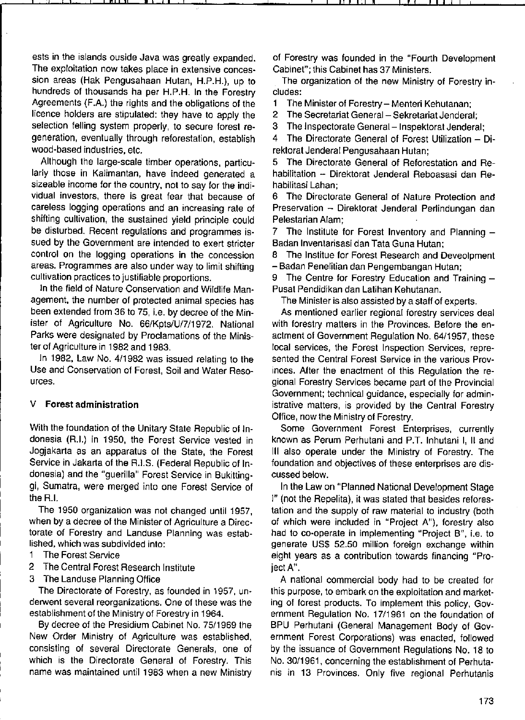ests in the islands ouside Java was greatly expanded. The exploitation now takes place in extensive concession areas (Hak Pengusahaan Hutan, H.P.H.), up to hundreds of thousands ha per H.P.H. In the Forestry Agreements (F.A.) the rights and the obligations of the licence holders are stipulated: they have to apply the selection felling system properly, to secure forest regeneration, eventually through relorestation, establish wood-based industries, etc.

Allhough the large-scale timber operations, particularly those in Kalimantan, have indeed generated a sizeable income for the country, not to say for the individual investors, there is great fear that because of careless logging operations and an increasing rate of shifting cultivation, the sustained yield principle could be disturbed. Recent regulations and programmes issued by the Government are intended to exert stricter control on the logging operations in the concession areas. Programmes are also under way to limit shifting cultivation practices to justifiable proportions.

In the field of Nature Conservation and Wildlife Management, the number of protected animal species has been extended from 36 to 75, i.e. by decree of the Minister of Agriculture No. 66/Kpts/U/7/1972. National Parks were designated by Proclamations of the Minister of Agriculture in 1982 and 1983.

In 1982, Law No. 4/1982 was issued relating to the Use and Conservation of Forest, Soil and Water Reso**urces.** 

## V Forest administration

With the foundation of the Unitary State Republic of Indonesia (R.I.) in 1950, the Forest Service vested in Jogjakarta as an apparatus of the State, the Forest Service in Jakarta of the R.I.S. (Federal Republic of Indonesia) and the "guerilla" Forest Service in Bukittinggi, Sumatra, were merged into one Forest Service of the R.I.

The 1950 organization was not changed until 1957, when by a decree of the Minister of Agriculture a Directorate of Forestry and Landuse Planning was established, which was subdivided into:

- 1 The Forest Service
- 2 The Central Forest Research Institute
- 3 The Landuse Planning Office

The Directorate of Forestry, as founded in 1957, underwent several reorganizations. One of these was the establishment of the Ministry of Forestry in 1964.

By decree of the Presidium Cabinet No. 75/1969 the New Order Ministry of Agriculture was established, consisting of several Directorate Generals, one of which is the Directorate General of Forestry. This name was maintained until 1983 when a new Ministry

of Forestry was founded in the "Fourth Development Cabinet"; this Cabinet has 37 Ministers.

The organization of the new Ministry of Forestry includes:

1 The Minister of Forestry - Menteri Kehutanan;

2 The Secretariat General - Sekretariat Jenderal;

3 The Inspectorate General-Inspektorat Jenderal;

4 The Directorate General of Forest Utilization - Direktorat Jenderal Pengusahaan Hutan;

5 The Directorate General of Relorestation and Rehabilitation - Direktorat Jenderal Reboasasi dan Rehabilitasi Lahan;

6 The Directorate General of Nature Protection and Preservation - Direktorat Jenderal Perlindungan dan Pelestarian Alam;

7 The Institute for Forest Inventory and Planning  $-$ Badan Inventarisasi dan Tata Guna Hutan;

8 The Institue for Forest Research and Deveolpment - Badan Penelitian dan Pengembangan Hutan;

9 The Centre for Forestry Education and Training -Pusat Pendidikan dan Latihan Kehutanan.

The Minister is also assisted by a staft of experts.

As mentioned earlier regional forestry services deal with forestry matters in the Provinces. Before the enactment of Government Regulation No. 64/1957, these local services, the Forest Inspection Services, represented the Central Forest Service in the various Provinces. After the enactment of this Regulation the regional Forestry Services became part ol the Provincial Government; technical guidance, especially for administrative matters, is provided by the Central Forestry Office, now the Ministry of Forestry.

Some Government Forest Enterprises, currently known as Perum Perhutani and P.T. Inhutani I, 11 and III also operate under the Ministry of Forestry. The foundation and objectives of these enterprises are discussed below.

In the Law on "Planned National Development Stage I" (not the Repelita), it was stated that besides relorestation and the supply of raw material to industry (both of which were included in "Project A"), forestry also had to co-operate in implementing "Project B", i.e. to generate US\$ 52.50 million foreign exchange within eight years as a contribution towards financing "ProjectA".

A national commercial body had to be created for this purpose, to embark on the exploitation and marketing of forest products. To implement this policy, Government Regulation No. 17/1961 on the foundation of BPU Perhutani (General Management Body of Government Forest Corporations) was enacted, followed by the issuance of Government Regulations No. 18 to No. 30/1961, concerning the establishment of Perhutanis in 13 Provinces. Only five regional Perhutanis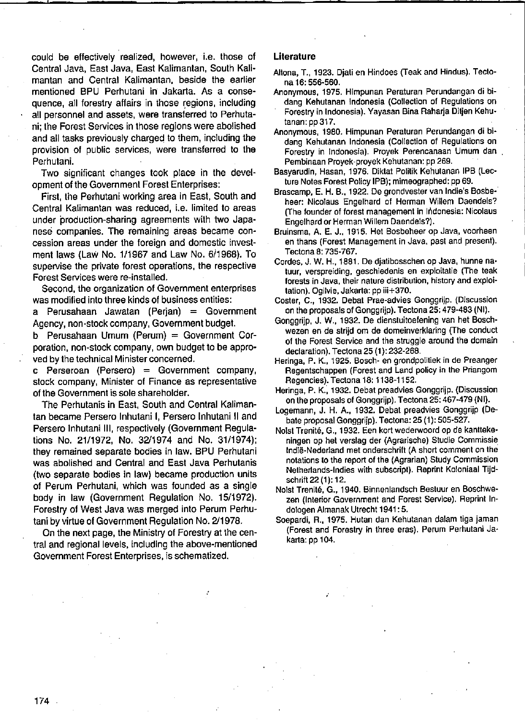could be effectively realized, however, i.e. those of Central Java, East Java, East Kalimantan, South Kalimantan and Central Kalimantan, beside the earlier mentioned BPU Perhutani in Jakarta. As a consequence, all forestry affairs in those regions, including all personnel and assets, were translerred to Perhutani; the Forest Services in those regions were abolished and all tasks previously charged to them, including the provision of public services, were transferred to the Perhutani.

Two significant changes took place in the development of the Government Forest Enterprises:

First, the Perhutani working area in East, South and Central Kalimantan was reduced, i.e. limited to areas under production-sharing agreements with two Japanese companies. The remaining areas became concession areas under the foreign and domestic investment laws (Law No. 1/1967 and Law No. 6/1968). To supervise the private forest operations, the respective Forest Services were re-installed.

Second, the organization of Government enterprises was modified into three kinds of business entities:

a Perusahaan Jawatan (Perjan) = Govemment Agency, non-stock company, Government budget.

b Perusahaan Umum (Perurn) = Government Corporation, non-stock company, own budget to be approved by the technical Minister concerned.

c Perseroan (Persero) = Government company, stock company, Minister of Finance as representative of the Government is sole shareholder.

The Perhutanis in East, South and Central Kalimantan became Persero Inhutani I, Persero Inhutani 11 and Persero Inhutani lil, respectively (Government Regulations No. 21/1972, No. 32/1974 and No. 31/1974); they remained separate bodies in law. BPU Perhutani was abolished and Central and East Java Perhutanis (two separate bodies in law) became production units of Perum Perhutani, which was founded as a single body in law (Government Regulation No. 15/1972). Forestry ol West Java was merged into Perum Perhutani by virtue of Government Regulation No. 2/1978.

On the next page, the Ministry ol Forestry at the central and regional levels, including the above-mentioned Government Forest Enterprises, is schematized.

### **Literature**

- Altona, T., 1923. Djati en Hindoes (Teak and Hindus). Tectona 16: 556-560.
- **Anonymous. 1975. Himpunan Peraturan Perundangan di bidang Kehutanan Indonesia (Collectien of Regulations on**  Forestry in Indonesia). Yayasan Bina Raharja Ditjen Kehutanan: pp317.
- **Anonymous, 1980. Himpunan Peraturan Perundangan di bidang Kehutanan Indonesia (Collection of Regulations on Forestry in Indonesia). Proyek Perencanaan Umum dan Pembinaan Proyek-proyek Kehutanan: pp 269.**
- Basyarudin, Hasan, 1976. Diktat Politik Kehulanan IPB (Lecture Notes Forest Policy IPB); mimeographed: pp 69.
- Brascamp, E. H. B., 1922. De grondvester van Indie's Bosbe**heer: Nicolaus Engelhard of Herman Willem Daendels? (The founder of forest management in Indonesia: Nicolaus Engelhard or Herman Willem Daendels?).**
- **Bruinsma, A. E. J., 1915. Het Bosbeheer op Java, voorheen en thans (Forest Management in Java, past and present).**  Teetona 8: 735-767.
- **Cordes, J. W. H., 1881. De djatibosschen op Java, hunne na· tuur, verspreiding, geschiedenis en exploitatie (The teak foresls in Java, their nature distribution, history and exploi· tation). Ogilvie, Jakarta: pp iii+370.**
- **Coster, C., 1932. Debat Prae-advies Gonggrijp. (Discussion**  on the proposals of Gonggrijp). Tectona 25: 479-483 (NI).
- Gonggrijp, J. W., 1932. De dienstuitoefening van het Bosch**wezen en de strijd om de domeinverklaring (The conduct of Ihe Forest Service and the struggle around the domain**  declaration). Teetona 25 (1): 232-268.
- Heringa, P. K., 1925. Bosch- en grondpolitiek in de Preanger **Regentschappen (Forest and Land policy in the Priangom Regencies). Tectona 18: 1138-1152,**
- **Heringa, P. K.; 1932. Debat preadvies Gonggrijp. (Discussion**  on the proposals of Gonggrijp). Tectona 25: 467-479 (NI).
- Logemann, J. H. A., 1932. Debat preadvies Gonggrijp (Debate proposal Gonggrijp). Tectona: 25 (1): 505-527.
- Nolst Trenité, G., 1932. Een kort wederwoord op de kantteke**ningen op het verslag der (Agrarische) Studie Commissie Indië-Nederland met onderschrift (A short comment on the notations to Ihe report of the (Agrarian) Study Commission Netherlands-Indies with subscript). Reprint Koloniaal Tijd**schrift 22 (1): 12.
- **Nolst Trenité, G., 1940. Binnenlandsch Bestuur en Boschwezen (Interior Government and Forest Service). Reprint In**dologen Almanak Utrecht 1941: 5.
- **Soepardi, R., 1975. Hutan dan Kehulanan dalam liga jaman (Forest and Forestry in three eras). Perum Perhutani Ja**karta: pp 104.